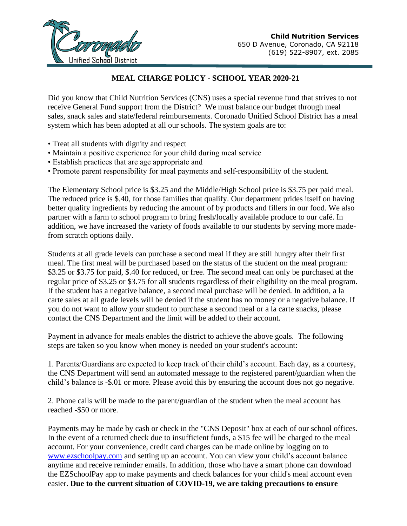

## **MEAL CHARGE POLICY - SCHOOL YEAR 2020-21**

Did you know that Child Nutrition Services (CNS) uses a special revenue fund that strives to not receive General Fund support from the District? We must balance our budget through meal sales, snack sales and state/federal reimbursements. Coronado Unified School District has a meal system which has been adopted at all our schools. The system goals are to:

- Treat all students with dignity and respect
- Maintain a positive experience for your child during meal service
- Establish practices that are age appropriate and
- Promote parent responsibility for meal payments and self-responsibility of the student.

The Elementary School price is \$3.25 and the Middle/High School price is \$3.75 per paid meal. The reduced price is \$.40, for those families that qualify. Our department prides itself on having better quality ingredients by reducing the amount of by products and fillers in our food. We also partner with a farm to school program to bring fresh/locally available produce to our café. In addition, we have increased the variety of foods available to our students by serving more madefrom scratch options daily.

Students at all grade levels can purchase a second meal if they are still hungry after their first meal. The first meal will be purchased based on the status of the student on the meal program: \$3.25 or \$3.75 for paid, \$.40 for reduced, or free. The second meal can only be purchased at the regular price of \$3.25 or \$3.75 for all students regardless of their eligibility on the meal program. If the student has a negative balance, a second meal purchase will be denied. In addition, a la carte sales at all grade levels will be denied if the student has no money or a negative balance. If you do not want to allow your student to purchase a second meal or a la carte snacks, please contact the CNS Department and the limit will be added to their account.

Payment in advance for meals enables the district to achieve the above goals. The following steps are taken so you know when money is needed on your student's account:

1. Parents/Guardians are expected to keep track of their child's account. Each day, as a courtesy, the CNS Department will send an automated message to the registered parent/guardian when the child's balance is -\$.01 or more. Please avoid this by ensuring the account does not go negative.

2. Phone calls will be made to the parent/guardian of the student when the meal account has reached -\$50 or more.

Payments may be made by cash or check in the "CNS Deposit" box at each of our school offices. In the event of a returned check due to insufficient funds, a \$15 fee will be charged to the meal account. For your convenience, credit card charges can be made online by logging on to [www.ezschoolpay.com](http://www.ezschoolpay.com/) and setting up an account. You can view your child's account balance anytime and receive reminder emails. In addition, those who have a smart phone can download the EZSchoolPay app to make payments and check balances for your child's meal account even easier. **Due to the current situation of COVID-19, we are taking precautions to ensure**